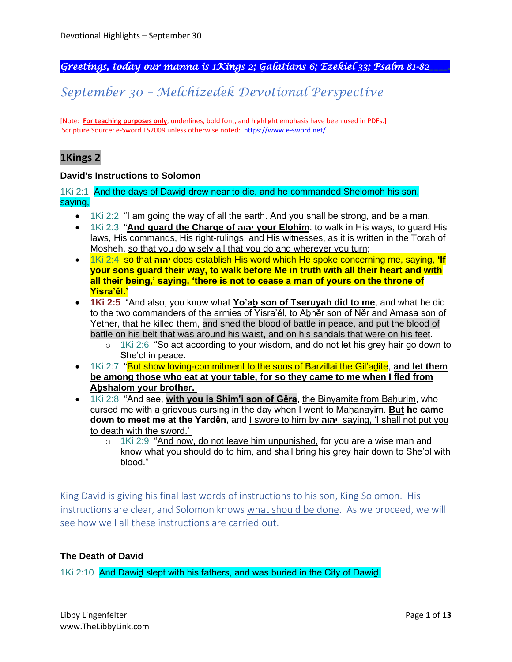*Greetings, today our manna is 1Kings 2; Galatians 6; Ezekiel 33; Psalm 81-82\_\_\_\_.* 

## *September 30 – Melchizedek Devotional Perspective*

[Note: **For teaching purposes only**, underlines, bold font, and highlight emphasis have been used in PDFs.] Scripture Source: e-Sword TS2009 unless otherwise noted: <https://www.e-sword.net/>

### **1Kings 2**

#### **David's Instructions to Solomon**

1Ki 2:1 And the days of Dawiḏ drew near to die, and he commanded Shelomoh his son, saying,

- 1Ki 2:2 "I am going the way of all the earth. And you shall be strong, and be a man.
- 1Ki 2:3 "**And guard the Charge of יהוה your Elohim**: to walk in His ways, to guard His laws, His commands, His right-rulings, and His witnesses, as it is written in the Torah of Mosheh, so that you do wisely all that you do and wherever you turn;
- 1Ki 2:4 so that **יהוה** does establish His word which He spoke concerning me, saying, **'If your sons guard their way, to walk before Me in truth with all their heart and with all their being,' saying, 'there is not to cease a man of yours on the throne of Yisra'ěl.'**
- **1Ki 2:5** "And also, you know what **Yo'aḇ son of Tseruyah did to me**, and what he did to the two commanders of the armies of Yisra'ěl, to Abněr son of Něr and Amasa son of Yether, that he killed them, and shed the blood of battle in peace, and put the blood of battle on his belt that was around his waist, and on his sandals that were on his feet.
	- $\circ$  1Ki 2:6 "So act according to your wisdom, and do not let his grey hair go down to She'ol in peace.
- 1Ki 2:7 "But show loving-commitment to the sons of Barzillai the Gil'adite, and let them **be among those who eat at your table, for so they came to me when I fled from Aḇshalom your brother.**
- 1Ki 2:8 "And see, **with you is Shim'i son of Gěra**, the Binyamite from Baḥurim, who cursed me with a grievous cursing in the day when I went to Maḥanayim. **But he came down to meet me at the Yarděn**, and I swore to him by **יהוה**, saying, 'I shall not put you to death with the sword.'
	- o 1Ki 2:9 "And now, do not leave him unpunished, for you are a wise man and know what you should do to him, and shall bring his grey hair down to She'ol with blood."

King David is giving his final last words of instructions to his son, King Solomon. His instructions are clear, and Solomon knows what should be done. As we proceed, we will see how well all these instructions are carried out.

### **The Death of David**

1Ki 2:10 And Dawiḏ slept with his fathers, and was buried in the City of Dawiḏ.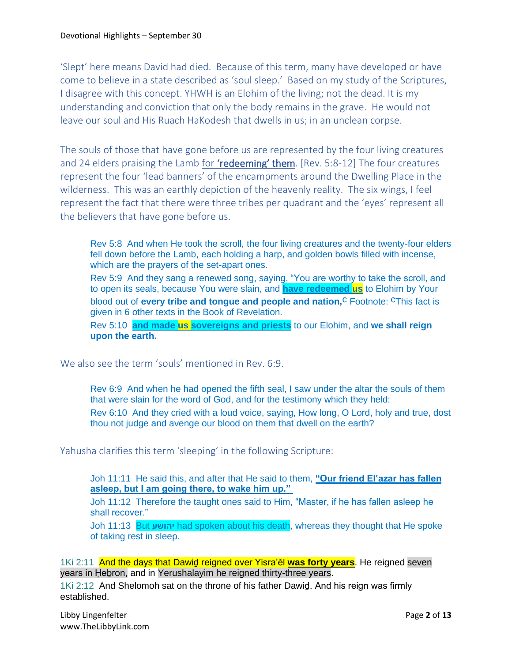'Slept' here means David had died. Because of this term, many have developed or have come to believe in a state described as 'soul sleep.' Based on my study of the Scriptures, I disagree with this concept. YHWH is an Elohim of the living; not the dead. It is my understanding and conviction that only the body remains in the grave. He would not leave our soul and His Ruach HaKodesh that dwells in us; in an unclean corpse.

The souls of those that have gone before us are represented by the four living creatures and 24 elders praising the Lamb for 'redeeming' them. [Rev. 5:8-12] The four creatures represent the four 'lead banners' of the encampments around the Dwelling Place in the wilderness. This was an earthly depiction of the heavenly reality. The six wings, I feel represent the fact that there were three tribes per quadrant and the 'eyes' represent all the believers that have gone before us.

Rev 5:8 And when He took the scroll, the four living creatures and the twenty-four elders fell down before the Lamb, each holding a harp, and golden bowls filled with incense, which are the prayers of the set-apart ones. Rev 5:9 And they sang a renewed song, saying, "You are worthy to take the scroll, and to open its seals, because You were slain, and **have redeemed us** to Elohim by Your blood out of **every tribe and tonque and people and nation**<sup>C</sup> Footnote: CThis fact is given in 6 other texts in the Book of Revelation. Rev 5:10 **and made us sovereigns and priests** to our Elohim, and **we shall reign upon the earth.**

We also see the term 'souls' mentioned in Rev. 6:9.

Rev 6:9 And when he had opened the fifth seal, I saw under the altar the souls of them that were slain for the word of God, and for the testimony which they held: Rev 6:10 And they cried with a loud voice, saying, How long, O Lord, holy and true, dost thou not judge and avenge our blood on them that dwell on the earth?

Yahusha clarifies this term 'sleeping' in the following Scripture:

Joh 11:11 He said this, and after that He said to them, **"Our friend El'azar has fallen asleep, but I am going there, to wake him up."**

Joh 11:12 Therefore the taught ones said to Him, "Master, if he has fallen asleep he shall recover."

Joh 11:13 But **יהושע** had spoken about his death, whereas they thought that He spoke of taking rest in sleep.

1Ki 2:11 And the days that Dawiḏ reigned over Yisra'ěl **was forty years**. He reigned seven years in Hebron, and in Yerushalayim he reigned thirty-three years.

1Ki 2:12 And Shelomoh sat on the throne of his father Dawiḏ. And his reign was firmly established.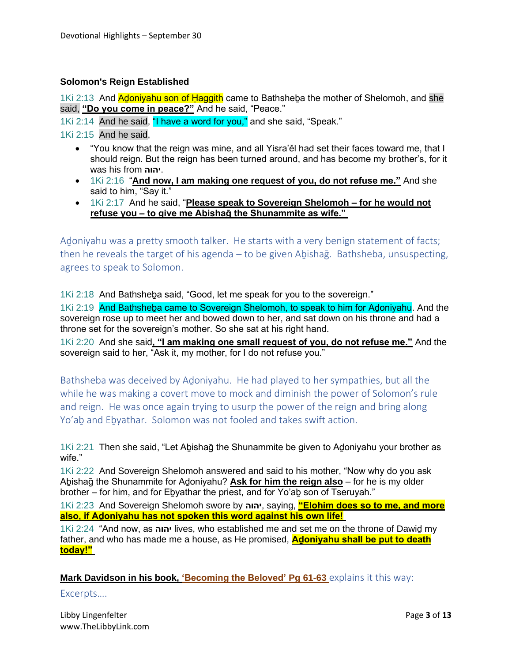#### **Solomon's Reign Established**

1Ki 2:13 And Adoniyahu son of Haggith came to Bathsheba the mother of Shelomoh, and she said, **"Do you come in peace?"** And he said, "Peace."

1Ki 2:14 And he said, "I have a word for you," and she said, "Speak."

1Ki 2:15 And he said,

- "You know that the reign was mine, and all Yisra'ěl had set their faces toward me, that I should reign. But the reign has been turned around, and has become my brother's, for it was his from **יהוה**.
- 1Ki 2:16 "**And now, I am making one request of you, do not refuse me."** And she said to him, "Say it."
- 1Ki 2:17 And he said, "**Please speak to Sovereign Shelomoh – for he would not refuse you – to give me Aḇishaḡ the Shunammite as wife."**

Adoniyahu was a pretty smooth talker. He starts with a very benign statement of facts; then he reveals the target of his agenda – to be given Abishag. Bathsheba, unsuspecting, agrees to speak to Solomon.

1Ki 2:18 And Bathsheḇa said, "Good, let me speak for you to the sovereign."

1Ki 2:19 And Bathsheba came to Sovereign Shelomoh, to speak to him for Adoniyahu. And the sovereign rose up to meet her and bowed down to her, and sat down on his throne and had a throne set for the sovereign's mother. So she sat at his right hand.

1Ki 2:20 And she said**, "I am making one small request of you, do not refuse me."** And the sovereign said to her, "Ask it, my mother, for I do not refuse you."

Bathsheba was deceived by Aḏoniyahu. He had played to her sympathies, but all the while he was making a covert move to mock and diminish the power of Solomon's rule and reign. He was once again trying to usurp the power of the reign and bring along Yo'aḇ and Eḇyathar. Solomon was not fooled and takes swift action.

1Ki 2:21 Then she said, "Let Aḇishaḡ the Shunammite be given to Aḏoniyahu your brother as wife."

1Ki 2:22 And Sovereign Shelomoh answered and said to his mother, "Now why do you ask Aḇishaḡ the Shunammite for Aḏoniyahu? **Ask for him the reign also** – for he is my older brother – for him, and for Ebyathar the priest, and for Yo'ab son of Tseruyah."

1Ki 2:23 And Sovereign Shelomoh swore by **יהוה**, saying, **"Elohim does so to me, and more also, if Aḏoniyahu has not spoken this word against his own life!**

1Ki 2:24 "And now, as **יהוה** lives, who established me and set me on the throne of Dawiḏ my father, and who has made me a house, as He promised, **Aḏoniyahu shall be put to death today!"**

Mark Davidson in his book, 'Becoming the Beloved' Pg 61-63 explains it this way:

Excerpts….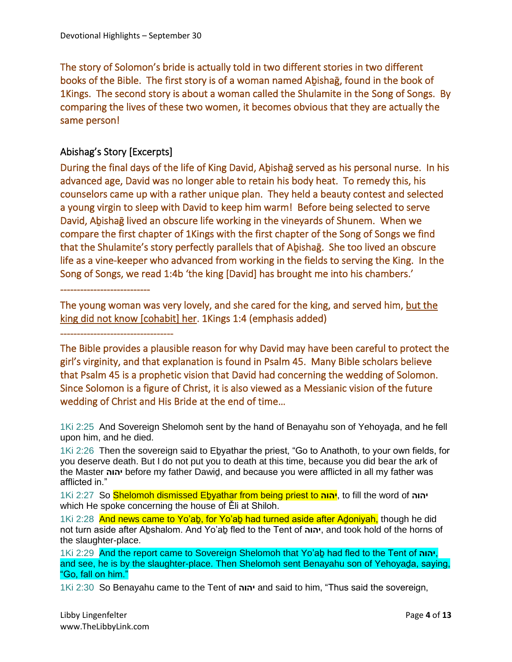The story of Solomon's bride is actually told in two different stories in two different books of the Bible. The first story is of a woman named Abishag, found in the book of 1Kings. The second story is about a woman called the Shulamite in the Song of Songs. By comparing the lives of these two women, it becomes obvious that they are actually the same person!

### Abishag's Story [Excerpts]

During the final days of the life of King David, Abishag served as his personal nurse. In his advanced age, David was no longer able to retain his body heat. To remedy this, his counselors came up with a rather unique plan. They held a beauty contest and selected a young virgin to sleep with David to keep him warm! Before being selected to serve David, Aḇishaḡ lived an obscure life working in the vineyards of Shunem. When we compare the first chapter of 1Kings with the first chapter of the Song of Songs we find that the Shulamite's story perfectly parallels that of Abishag. She too lived an obscure life as a vine-keeper who advanced from working in the fields to serving the King. In the Song of Songs, we read 1:4b 'the king [David] has brought me into his chambers.'

The young woman was very lovely, and she cared for the king, and served him, but the king did not know [cohabit] her. 1Kings 1:4 (emphasis added)

----------------------------------

---------------------------

The Bible provides a plausible reason for why David may have been careful to protect the girl's virginity, and that explanation is found in Psalm 45. Many Bible scholars believe that Psalm 45 is a prophetic vision that David had concerning the wedding of Solomon. Since Solomon is a figure of Christ, it is also viewed as a Messianic vision of the future wedding of Christ and His Bride at the end of time…

1Ki 2:25 And Sovereign Shelomoh sent by the hand of Benayahu son of Yehoyaḏa, and he fell upon him, and he died.

1Ki 2:26 Then the sovereign said to Eḇyathar the priest, "Go to Anathoth, to your own fields, for you deserve death. But I do not put you to death at this time, because you did bear the ark of the Master **יהוה** before my father Dawiḏ, and because you were afflicted in all my father was afflicted in."

1Ki 2:27 So Shelomoh dismissed Eḇyathar from being priest to **יהוה**, to fill the word of **יהוה** which He spoke concerning the house of Ěli at Shiloh.

1Ki 2:28 And news came to Yo'ab, for Yo'ab had turned aside after Adoniyah, though he did not turn aside after Aḇshalom. And Yo'aḇ fled to the Tent of **יהוה**, and took hold of the horns of the slaughter-place.

1Ki 2:29 And the report came to Sovereign Shelomoh that Yo'aḇ had fled to the Tent of **יהוה**, and see, he is by the slaughter-place. Then Shelomoh sent Benayahu son of Yehoyaḏa, saying, "Go, fall on him."

1Ki 2:30 So Benayahu came to the Tent of **יהוה** and said to him, "Thus said the sovereign,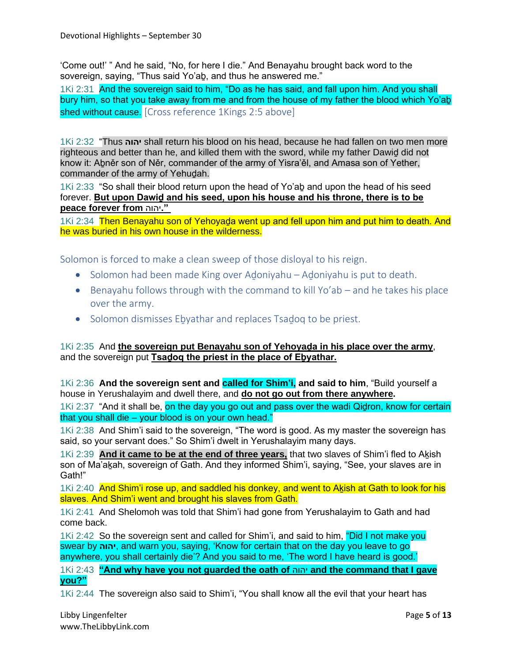'Come out!' " And he said, "No, for here I die." And Benayahu brought back word to the sovereign, saying, "Thus said Yo'aḇ, and thus he answered me."

1Ki 2:31 And the sovereign said to him, "Do as he has said, and fall upon him. And you shall bury him, so that you take away from me and from the house of my father the blood which Yo'aḇ shed without cause. [Cross reference 1Kings 2:5 above]

1Ki 2:32 "Thus **יהוה** shall return his blood on his head, because he had fallen on two men more righteous and better than he, and killed them with the sword, while my father Dawiḏ did not know it: Aḇněr son of Něr, commander of the army of Yisra'ěl, and Amasa son of Yether, commander of the army of Yehuḏah.

1Ki 2:33 "So shall their blood return upon the head of Yo'aḇ and upon the head of his seed forever. **But upon Dawiḏ and his seed, upon his house and his throne, there is to be peace forever from** יהוה**."**

1Ki 2:34 Then Benayahu son of Yehoyaḍa went up and fell upon him and put him to death. And he was buried in his own house in the wilderness.

Solomon is forced to make a clean sweep of those disloyal to his reign.

- Solomon had been made King over Adoniyahu Adoniyahu is put to death.
- Benayahu follows through with the command to kill Yo'ab and he takes his place over the army.
- Solomon dismisses Ebyathar and replaces Tsadoq to be priest.

1Ki 2:35 And **the sovereign put Benayahu son of Yehoyaḏa in his place over the army**, and the sovereign put **Tsaḏoq the priest in the place of Eḇyathar.**

1Ki 2:36 **And the sovereign sent and called for Shim'i, and said to him**, "Build yourself a house in Yerushalayim and dwell there, and **do not go out from there anywhere.**

1Ki 2:37 "And it shall be, on the day you go out and pass over the wadi Qidron, know for certain that you shall die – your blood is on your own head."

1Ki 2:38 And Shim'i said to the sovereign, "The word is good. As my master the sovereign has said, so your servant does." So Shim'i dwelt in Yerushalayim many days.

1Ki 2:39 And it came to be at the end of three years, that two slaves of Shim'i fled to Akish son of Ma'akah, sovereign of Gath. And they informed Shim'i, saying, "See, your slaves are in Gath!"

1Ki 2:40 And Shim'i rose up, and saddled his donkey, and went to Akish at Gath to look for his slaves. And Shim'i went and brought his slaves from Gath.

1Ki 2:41 And Shelomoh was told that Shim'i had gone from Yerushalayim to Gath and had come back.

1Ki 2:42 So the sovereign sent and called for Shim'i, and said to him, "Did I not make you swear by **יהוה**, and warn you, saying, 'Know for certain that on the day you leave to go anywhere, you shall certainly die'? And you said to me, 'The word I have heard is good.'

1Ki 2:43 **"And why have you not guarded the oath of** יהוה **and the command that I gave you?"**

1Ki 2:44 The sovereign also said to Shim'i, "You shall know all the evil that your heart has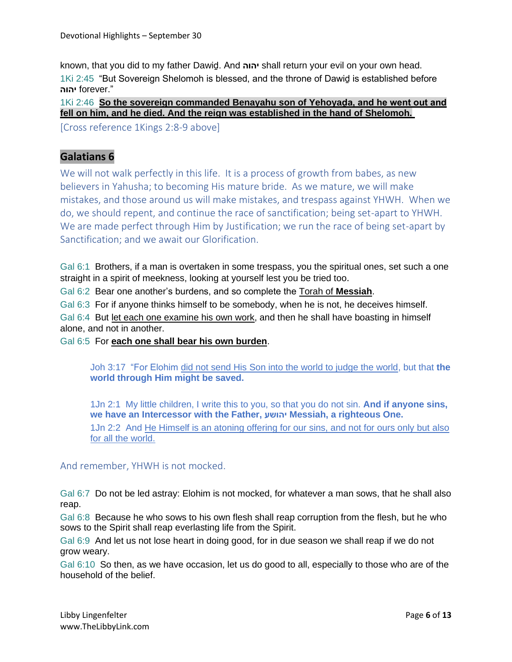known, that you did to my father Dawiḏ. And **יהוה** shall return your evil on your own head. 1Ki 2:45 "But Sovereign Shelomoh is blessed, and the throne of Dawiḏ is established before ".forever **יהוה** 

1Ki 2:46 So the sovereign commanded Benayahu son of Yehoyada, and he went out and **fell on him, and he died. And the reign was established in the hand of Shelomoh.**

[Cross reference 1Kings 2:8-9 above]

### **Galatians 6**

We will not walk perfectly in this life. It is a process of growth from babes, as new believers in Yahusha; to becoming His mature bride. As we mature, we will make mistakes, and those around us will make mistakes, and trespass against YHWH. When we do, we should repent, and continue the race of sanctification; being set-apart to YHWH. We are made perfect through Him by Justification; we run the race of being set-apart by Sanctification; and we await our Glorification.

Gal 6:1 Brothers, if a man is overtaken in some trespass, you the spiritual ones, set such a one straight in a spirit of meekness, looking at yourself lest you be tried too.

Gal 6:2 Bear one another's burdens, and so complete the Torah of **Messiah**.

Gal 6:3 For if anyone thinks himself to be somebody, when he is not, he deceives himself.

Gal 6:4 But let each one examine his own work, and then he shall have boasting in himself alone, and not in another.

Gal 6:5 For **each one shall bear his own burden**.

Joh 3:17 "For Elohim did not send His Son into the world to judge the world, but that **the world through Him might be saved.**

1Jn 2:1 My little children, I write this to you, so that you do not sin. **And if anyone sins, we have an Intercessor with the Father, יהושע Messiah, a righteous One.**

1Jn 2:2 And He Himself is an atoning offering for our sins, and not for ours only but also for all the world.

And remember, YHWH is not mocked.

Gal 6:7 Do not be led astray: Elohim is not mocked, for whatever a man sows, that he shall also reap.

Gal 6:8 Because he who sows to his own flesh shall reap corruption from the flesh, but he who sows to the Spirit shall reap everlasting life from the Spirit.

Gal 6:9 And let us not lose heart in doing good, for in due season we shall reap if we do not grow weary.

Gal 6:10 So then, as we have occasion, let us do good to all, especially to those who are of the household of the belief.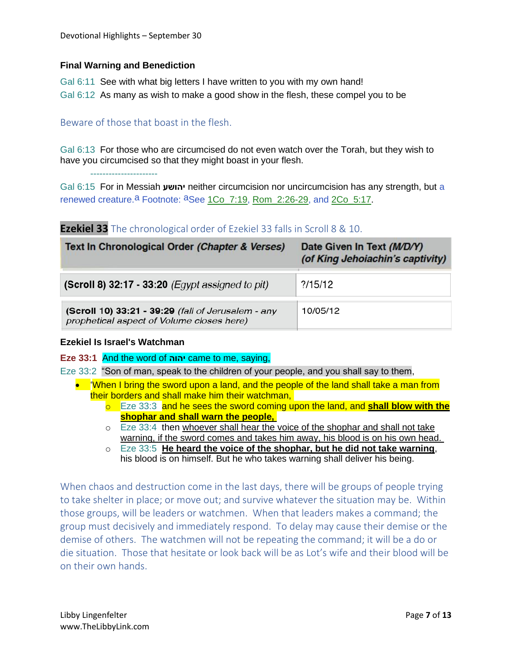### **Final Warning and Benediction**

Gal 6:11 See with what big letters I have written to you with my own hand! Gal 6:12 As many as wish to make a good show in the flesh, these compel you to be

### Beware of those that boast in the flesh.

Gal 6:13 For those who are circumcised do not even watch over the Torah, but they wish to have you circumcised so that they might boast in your flesh.

----------------------

Gal 6:15 For in Messiah **יהושע** neither circumcision nor uncircumcision has any strength, but a renewed creature.<sup>a</sup> Footnote: <sup>a</sup>See 1Co\_7:19, Rom\_2:26-29, and 2Co\_5:17.

### **Ezekiel 33** The chronological order of Ezekiel 33 falls in Scroll 8 & 10.

| Text In Chronological Order (Chapter & Verses)                                                  | Date Given In Text (M/D/Y)<br>(of King Jehoiachin's captivity) |
|-------------------------------------------------------------------------------------------------|----------------------------------------------------------------|
| (Scroll 8) 32:17 - 33:20 (Egypt assigned to pit)                                                | ?15/12                                                         |
| (Scroll 10) 33:21 - 39:29 (fall of Jerusalem - any<br>prophetical aspect of Volume closes here) | 10/05/12                                                       |

### **Ezekiel Is Israel's Watchman**

#### **Eze 33:1** And the word of **יהוה** came to me, saying,

Eze 33:2 "Son of man, speak to the children of your people, and you shall say to them,

- 'When I bring the sword upon a land, and the people of the land shall take a man from their borders and shall make him their watchman,
	- o Eze 33:3 and he sees the sword coming upon the land, and **shall blow with the shophar and shall warn the people,**
	- o Eze 33:4 then whoever shall hear the voice of the shophar and shall not take warning, if the sword comes and takes him away, his blood is on his own head.
	- o Eze 33:5 **He heard the voice of the shophar, but he did not take warning**, his blood is on himself. But he who takes warning shall deliver his being.

When chaos and destruction come in the last days, there will be groups of people trying to take shelter in place; or move out; and survive whatever the situation may be. Within those groups, will be leaders or watchmen. When that leaders makes a command; the group must decisively and immediately respond. To delay may cause their demise or the demise of others. The watchmen will not be repeating the command; it will be a do or die situation. Those that hesitate or look back will be as Lot's wife and their blood will be on their own hands.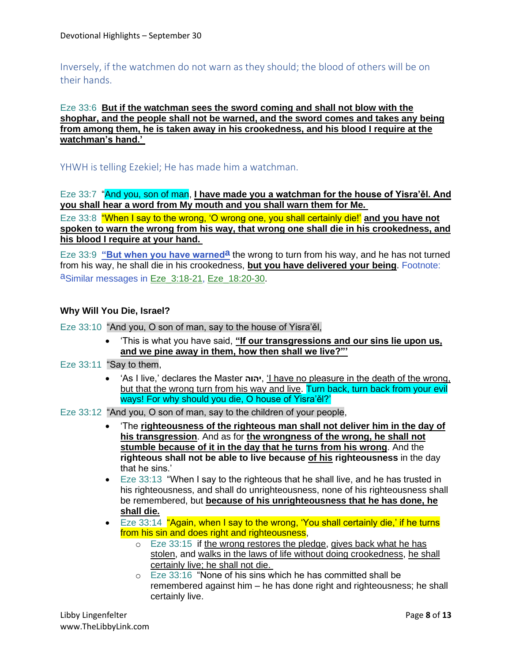Inversely, if the watchmen do not warn as they should; the blood of others will be on their hands.

### Eze 33:6 **But if the watchman sees the sword coming and shall not blow with the shophar, and the people shall not be warned, and the sword comes and takes any being from among them, he is taken away in his crookedness, and his blood I require at the watchman's hand.'**

YHWH is telling Ezekiel; He has made him a watchman.

Eze 33:7 "And you, son of man, **I have made you a watchman for the house of Yisra'ěl. And you shall hear a word from My mouth and you shall warn them for Me.**

Eze 33:8 "When I say to the wrong, 'O wrong one, you shall certainly die!' **and you have not spoken to warn the wrong from his way, that wrong one shall die in his crookedness, and his blood I require at your hand.**

Eze 33:9 **"But when you have warned<sup>a</sup> the wrong to turn from his way, and he has not turned** from his way, he shall die in his crookedness, **but you have delivered your being**. Footnote: aSimilar messages in Eze\_3:18-21, Eze\_18:20-30.

#### **Why Will You Die, Israel?**

Eze 33:10 "And you, O son of man, say to the house of Yisra'ěl,

- 'This is what you have said, **"If our transgressions and our sins lie upon us, and we pine away in them, how then shall we live?"'**
- Eze 33:11 "Say to them.
	- 'As I live,' declares the Master **יהוה**,' I have no pleasure in the death of the wrong, but that the wrong turn from his way and live. Turn back, turn back from your evil ways! For why should you die, O house of Yisra'ěl?'
- Eze 33:12 "And you, O son of man, say to the children of your people,
	- 'The **righteousness of the righteous man shall not deliver him in the day of his transgression**. And as for **the wrongness of the wrong, he shall not stumble because of it in the day that he turns from his wrong**. And the **righteous shall not be able to live because of his righteousness** in the day that he sins.'
	- Eze 33:13 "When I say to the righteous that he shall live, and he has trusted in his righteousness, and shall do unrighteousness, none of his righteousness shall be remembered, but **because of his unrighteousness that he has done, he shall die.**
	- Eze 33:14 "Again, when I say to the wrong, 'You shall certainly die,' if he turns from his sin and does right and righteousness,
		- $\circ$  Eze 33:15 if the wrong restores the pledge, gives back what he has stolen, and walks in the laws of life without doing crookedness, he shall certainly live; he shall not die.
		- o Eze 33:16 "None of his sins which he has committed shall be remembered against him – he has done right and righteousness; he shall certainly live.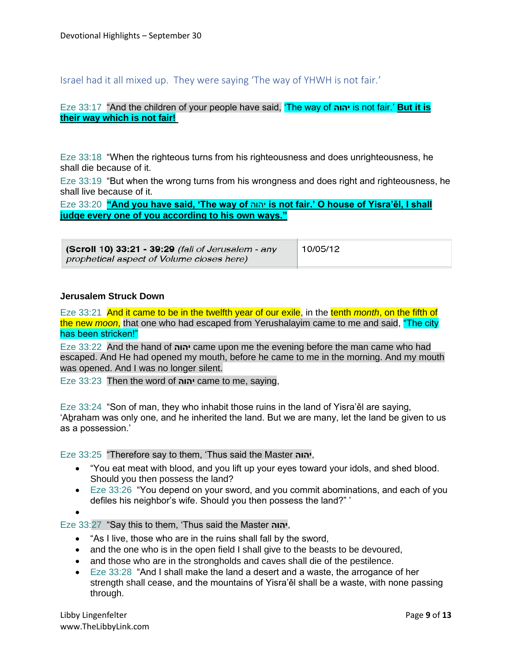Israel had it all mixed up. They were saying 'The way of YHWH is not fair.'

#### Eze 33:17 "And the children of your people have said, 'The way of **יהוה** is not fair.' **But it is their way which is not fair!**

Eze 33:18 "When the righteous turns from his righteousness and does unrighteousness, he shall die because of it.

Eze 33:19 "But when the wrong turns from his wrongness and does right and righteousness, he shall live because of it.

Eze 33:20 **"And you have said, 'The way of** יהוה **is not fair.' O house of Yisra'ěl, I shall judge every one of you according to his own ways."**

| (Scroll 10) 33:21 - 39:29 (fall of Jerusalem - any | 10/05/12 |
|----------------------------------------------------|----------|
| prophetical aspect of Volume closes here)          |          |

#### **Jerusalem Struck Down**

Eze 33:21 And it came to be in the twelfth year of our exile, in the tenth *month*, on the fifth of the new *moon*, that one who had escaped from Yerushalayim came to me and said, "The city has been stricken!"

Eze 33:22 And the hand of **יהוה** came upon me the evening before the man came who had escaped. And He had opened my mouth, before he came to me in the morning. And my mouth was opened. And I was no longer silent.

Eze 33:23 Then the word of **יהוה** came to me, saying,

Eze 33:24 "Son of man, they who inhabit those ruins in the land of Yisra'ěl are saying, 'Aḇraham was only one, and he inherited the land. But we are many, let the land be given to us as a possession.'

Eze 33:25 "Therefore say to them, 'Thus said the Master **יהוה**,

- "You eat meat with blood, and you lift up your eyes toward your idols, and shed blood. Should you then possess the land?
- Eze 33:26 "You depend on your sword, and you commit abominations, and each of you defiles his neighbor's wife. Should you then possess the land?" '

•

Eze 33:27 "Say this to them, 'Thus said the Master **יהוה**,

- "As I live, those who are in the ruins shall fall by the sword,
- and the one who is in the open field I shall give to the beasts to be devoured,
- and those who are in the strongholds and caves shall die of the pestilence.
- Eze 33:28 "And I shall make the land a desert and a waste, the arrogance of her strength shall cease, and the mountains of Yisra'ěl shall be a waste, with none passing through.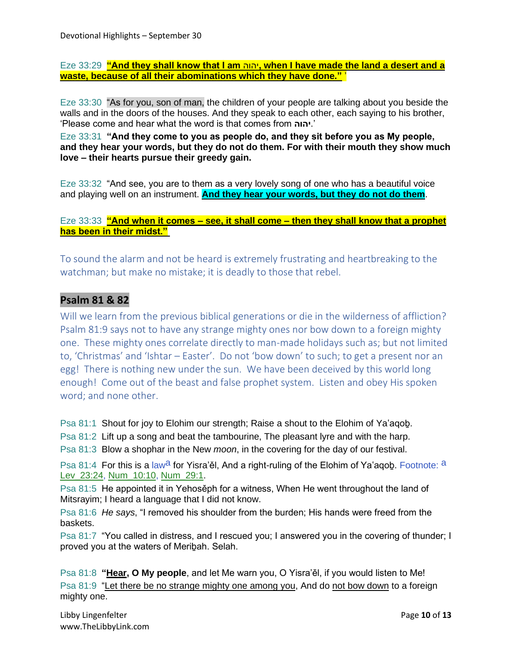Eze 33:29 **"And they shall know that I am** יהוה**, when I have made the land a desert and a waste, because of all their abominations which they have done."** '

Eze 33:30 "As for you, son of man, the children of your people are talking about you beside the walls and in the doors of the houses. And they speak to each other, each saying to his brother, 'Please come and hear what the word is that comes from **יהוה**.'

Eze 33:31 **"And they come to you as people do, and they sit before you as My people, and they hear your words, but they do not do them. For with their mouth they show much love – their hearts pursue their greedy gain.**

Eze 33:32 "And see, you are to them as a very lovely song of one who has a beautiful voice and playing well on an instrument. **And they hear your words, but they do not do them**.

Eze 33:33 **"And when it comes – see, it shall come – then they shall know that a prophet has been in their midst."**

To sound the alarm and not be heard is extremely frustrating and heartbreaking to the watchman; but make no mistake; it is deadly to those that rebel.

### **Psalm 81 & 82**

Will we learn from the previous biblical generations or die in the wilderness of affliction? Psalm 81:9 says not to have any strange mighty ones nor bow down to a foreign mighty one. These mighty ones correlate directly to man-made holidays such as; but not limited to, 'Christmas' and 'Ishtar – Easter'. Do not 'bow down' to such; to get a present nor an egg! There is nothing new under the sun. We have been deceived by this world long enough! Come out of the beast and false prophet system. Listen and obey His spoken word; and none other.

Psa 81:1 Shout for joy to Elohim our strength; Raise a shout to the Elohim of Ya'aqoḇ.

Psa 81:2 Lift up a song and beat the tambourine, The pleasant lyre and with the harp.

Psa 81:3 Blow a shophar in the New *moon*, in the covering for the day of our festival.

Psa 81:4 For this is a law<sup>a</sup> for Yisra'ěl, And a right-ruling of the Elohim of Ya'agob. Footnote: a Lev\_23:24, Num\_10:10, Num\_29:1.

Psa 81:5 He appointed it in Yehosěph for a witness, When He went throughout the land of Mitsrayim; I heard a language that I did not know.

Psa 81:6 *He says*, "I removed his shoulder from the burden; His hands were freed from the baskets.

Psa 81:7 "You called in distress, and I rescued you; I answered you in the covering of thunder; I proved you at the waters of Meriḇah. Selah.

Psa 81:8 **"Hear, O My people**, and let Me warn you, O Yisra'ěl, if you would listen to Me! Psa 81:9 "Let there be no strange mighty one among you, And do not bow down to a foreign mighty one.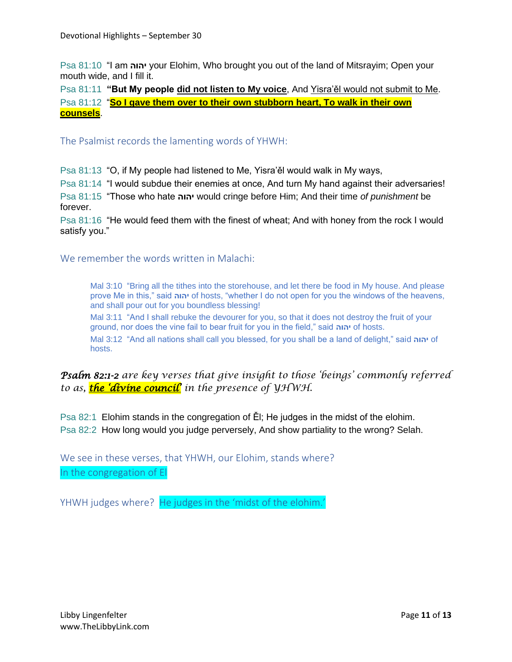Psa 81:10 "I am **יהוה** your Elohim, Who brought you out of the land of Mitsrayim; Open your mouth wide, and I fill it.

Psa 81:11 **"But My people did not listen to My voice**, And Yisra'ěl would not submit to Me. Psa 81:12 "**So I gave them over to their own stubborn heart, To walk in their own counsels**.

The Psalmist records the lamenting words of YHWH:

Psa 81:13 "O, if My people had listened to Me, Yisra'ěl would walk in My ways,

Psa 81:14 "I would subdue their enemies at once, And turn My hand against their adversaries!

Psa 81:15 "Those who hate **יהוה** would cringe before Him; And their time *of punishment* be forever.

Psa 81:16 "He would feed them with the finest of wheat; And with honey from the rock I would satisfy you."

We remember the words written in Malachi:

Mal 3:10 "Bring all the tithes into the storehouse, and let there be food in My house. And please prove Me in this," said **יהוה** of hosts, "whether I do not open for you the windows of the heavens, and shall pour out for you boundless blessing!

Mal 3:11 "And I shall rebuke the devourer for you, so that it does not destroy the fruit of your ground, nor does the vine fail to bear fruit for you in the field," said **יהוה** of hosts.

Mal 3:12 "And all nations shall call you blessed, for you shall be a land of delight," said **יהוה** of hosts.

*Psalm 82:1-2 are key verses that give insight to those 'beings' commonly referred to as, the 'divine council' in the presence of YHWH.*

Psa 82:1 Elohim stands in the congregation of Ěl; He judges in the midst of the elohim. Psa 82:2 How long would you judge perversely, And show partiality to the wrong? Selah.

We see in these verses, that YHWH, our Elohim, stands where? In the congregation of El

YHWH judges where? He judges in the 'midst of the elohim.'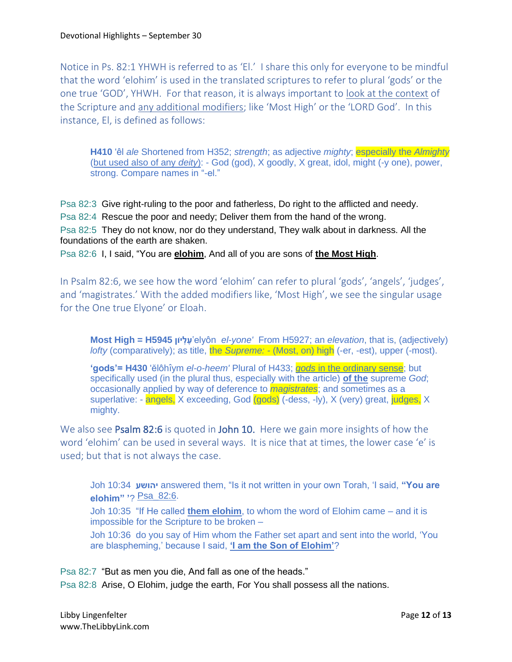Notice in Ps. 82:1 YHWH is referred to as 'El.' I share this only for everyone to be mindful that the word 'elohim' is used in the translated scriptures to refer to plural 'gods' or the one true 'GOD', YHWH. For that reason, it is always important to look at the context of the Scripture and any additional modifiers; like 'Most High' or the 'LORD God'. In this instance, El, is defined as follows:

**H410** 'êl *ale* Shortened from H352; *strength*; as adjective *mighty*; especially the *Almighty* (but used also of any *deity*): - God (god), X goodly, X great, idol, might (-y one), power, strong. Compare names in "-el."

Psa 82:3 Give right-ruling to the poor and fatherless, Do right to the afflicted and needy. Psa 82:4 Rescue the poor and needy; Deliver them from the hand of the wrong. Psa 82:5 They do not know, nor do they understand, They walk about in darkness. All the foundations of the earth are shaken. Psa 82:6 I, I said, "You are **elohim**, And all of you are sons of **the Most High**.

In Psalm 82:6, we see how the word 'elohim' can refer to plural 'gods', 'angels', 'judges', and 'magistrates.' With the added modifiers like, 'Most High', we see the singular usage for the One true Elyone' or Eloah.

**Most High = H5945 וןֹי ְל ֶע**'elyôn *el-yone'* From H5927; an *elevation*, that is, (adjectively) *lofty* (comparatively); as title, the *Supreme: -* (Most, on) high (-er, -est), upper (-most).

**'gods'= H430** 'ĕlôhı̂ym *el-o-heem'* Plural of H433; *gods* in the ordinary sense; but specifically used (in the plural thus, especially with the article) **of the** supreme *God*; occasionally applied by way of deference to *magistrates*; and sometimes as a superlative: - angels, X exceeding, God (gods) (-dess, -ly), X (very) great, judges, X mighty.

We also see Psalm 82:6 is quoted in John 10. Here we gain more insights of how the word 'elohim' can be used in several ways. It is nice that at times, the lower case 'e' is used; but that is not always the case.

Joh 10:34 **יהושע** answered them, "Is it not written in your own Torah, 'I said, **"You are elohim" '**? Psa\_82:6.

Joh 10:35 "If He called **them elohim**, to whom the word of Elohim came – and it is impossible for the Scripture to be broken –

Joh 10:36 do you say of Him whom the Father set apart and sent into the world, 'You are blaspheming,' because I said, **'I am the Son of Elohim'**?

Psa 82:7 "But as men you die, And fall as one of the heads."

Psa 82:8 Arise, O Elohim, judge the earth, For You shall possess all the nations.